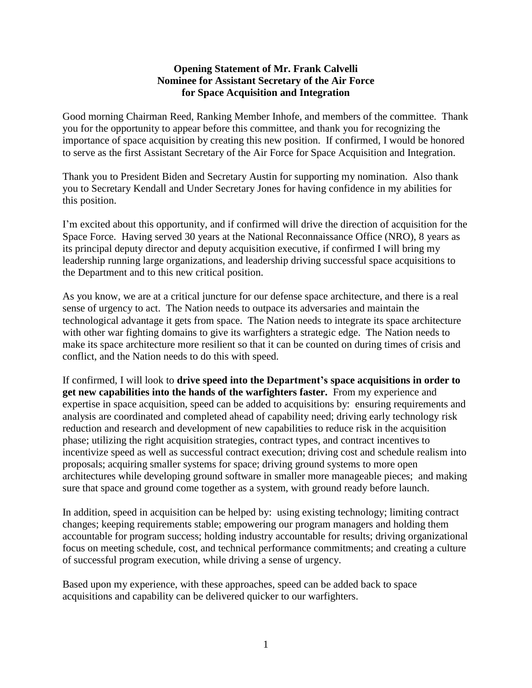## **Opening Statement of Mr. Frank Calvelli Nominee for Assistant Secretary of the Air Force for Space Acquisition and Integration**

Good morning Chairman Reed, Ranking Member Inhofe, and members of the committee. Thank you for the opportunity to appear before this committee, and thank you for recognizing the importance of space acquisition by creating this new position. If confirmed, I would be honored to serve as the first Assistant Secretary of the Air Force for Space Acquisition and Integration.

Thank you to President Biden and Secretary Austin for supporting my nomination. Also thank you to Secretary Kendall and Under Secretary Jones for having confidence in my abilities for this position.

I'm excited about this opportunity, and if confirmed will drive the direction of acquisition for the Space Force. Having served 30 years at the National Reconnaissance Office (NRO), 8 years as its principal deputy director and deputy acquisition executive, if confirmed I will bring my leadership running large organizations, and leadership driving successful space acquisitions to the Department and to this new critical position.

As you know, we are at a critical juncture for our defense space architecture, and there is a real sense of urgency to act. The Nation needs to outpace its adversaries and maintain the technological advantage it gets from space. The Nation needs to integrate its space architecture with other war fighting domains to give its warfighters a strategic edge. The Nation needs to make its space architecture more resilient so that it can be counted on during times of crisis and conflict, and the Nation needs to do this with speed.

If confirmed, I will look to **drive speed into the Department's space acquisitions in order to get new capabilities into the hands of the warfighters faster.** From my experience and expertise in space acquisition, speed can be added to acquisitions by: ensuring requirements and analysis are coordinated and completed ahead of capability need; driving early technology risk reduction and research and development of new capabilities to reduce risk in the acquisition phase; utilizing the right acquisition strategies, contract types, and contract incentives to incentivize speed as well as successful contract execution; driving cost and schedule realism into proposals; acquiring smaller systems for space; driving ground systems to more open architectures while developing ground software in smaller more manageable pieces; and making sure that space and ground come together as a system, with ground ready before launch.

In addition, speed in acquisition can be helped by: using existing technology; limiting contract changes; keeping requirements stable; empowering our program managers and holding them accountable for program success; holding industry accountable for results; driving organizational focus on meeting schedule, cost, and technical performance commitments; and creating a culture of successful program execution, while driving a sense of urgency.

Based upon my experience, with these approaches, speed can be added back to space acquisitions and capability can be delivered quicker to our warfighters.